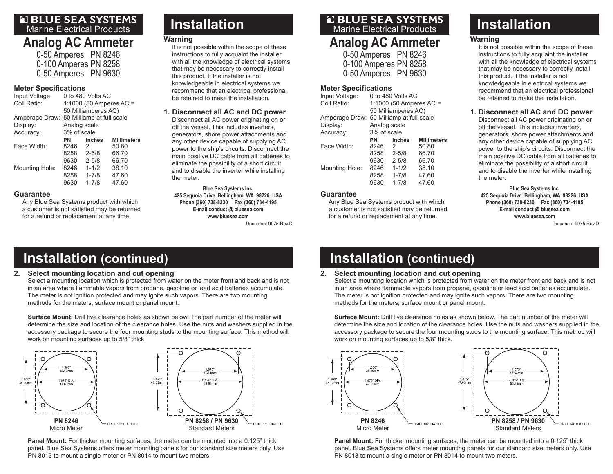# **E BLUE SEA SYSTEMS** Marine Electrical Products**Analog AC Ammeter**

0-50 Amperes PN 8246 0-100 Amperes PN 8258 0-50 Amperes PN 9630

### **Meter Specifications**

| Input Voltage: | 0 to 480 Volts AC                        |                     |                    |  |
|----------------|------------------------------------------|---------------------|--------------------|--|
| Coil Ratio:    | 1:1000 (50 Amperes $AC =$                |                     |                    |  |
|                |                                          | 50 Milliamperes AC) |                    |  |
|                | Amperage Draw: 50 Milliamp at full scale |                     |                    |  |
| Display:       | Analog scale                             |                     |                    |  |
| Accuracy:      | 3% of scale                              |                     |                    |  |
|                | PN                                       | <b>Inches</b>       | <b>Millimeters</b> |  |
| Face Width:    | 8246                                     | 2                   | 50.80              |  |
|                | 8258                                     | $2 - 5/8$           | 66.70              |  |
|                | 9630                                     | $2 - 5/8$           | 66.70              |  |
| Mounting Hole: | 8246                                     | $1 - 1/2$           | 38.10              |  |
|                | 8258                                     | $1 - 7/8$           | 47.60              |  |
|                | 9630                                     | $1 - 7/8$           | 47.60              |  |
|                |                                          |                     |                    |  |

### **Guarantee**

Any Blue Sea Systems product with which a customer is not satisfied may be returned for a refund or replacement at any time.

# **Installation**

## **Warning**

It is not possible within the scope of these instructions to fully acquaint the installer with all the knowledge of electrical systems that may be necessary to correctly install this product. If the installer is not knowledgeable in electrical systems we recommend that an electrical professional be retained to make the installation.

# **1. Disconnect all AC and DC power**

Disconnect all AC power originating on or off the vessel. This includes inverters, generators, shore power attachments and any other device capable of supplying AC power to the ship's circuits. Disconnect the main positive DC cable from all batteries to eliminate the possibility of a short circuit and to disable the inverter while installing the meter.

**Blue Sea Systems Inc. 425 Sequoia Drive Bellingham, WA 98226 USA Phone (360) 738-8230 Fax (360) 734-4195 E-mail conduct @ bluesea.com www.bluesea.com**Document 9975 Rev.D

# **E BLUE SEA SYSTEMS** Marine Electrical Products**Analog AC Ammeter**

0-50 Amperes PN 8246 0-100 Amperes PN 8258 0-50 Amperes PN 9630

### **Meter Specifications**

| Input Voltage: | 0 to 480 Volts AC                        |               |                    |  |
|----------------|------------------------------------------|---------------|--------------------|--|
| Coil Ratio:    | 1:1000 (50 Amperes AC =                  |               |                    |  |
|                | 50 Milliamperes AC)                      |               |                    |  |
|                | Amperage Draw: 50 Milliamp at full scale |               |                    |  |
| Display:       | Analog scale                             |               |                    |  |
| Accuracy:      | 3% of scale                              |               |                    |  |
|                | PN                                       | <b>Inches</b> | <b>Millimeters</b> |  |
| Face Width:    | 8246                                     | 2             | 50.80              |  |
|                | 8258                                     | $2 - 5/8$     | 66.70              |  |
|                | 9630                                     | $2 - 5/8$     | 66.70              |  |
| Mounting Hole: | 8246                                     | $1 - 1/2$     | 38.10              |  |
|                | 8258                                     | $1 - 7/8$     | 47.60              |  |
|                | 9630                                     | $1 - 7/8$     | 47.60              |  |
|                |                                          |               |                    |  |

# **Guarantee**

Any Blue Sea Systems product with which a customer is not satisfied may be returned for a refund or replacement at any time.

# **Installation**

## **Warning**

It is not possible within the scope of these instructions to fully acquaint the installer with all the knowledge of electrical systems that may be necessary to correctly install this product. If the installer is not knowledgeable in electrical systems we recommend that an electrical professional be retained to make the installation.

# **1. Disconnect all AC and DC power**

Disconnect all AC power originating on or off the vessel. This includes inverters, generators, shore power attachments and any other device capable of supplying AC power to the ship's circuits. Disconnect the main positive DC cable from all batteries to eliminate the possibility of a short circuit and to disable the inverter while installing the meter.

**Blue Sea Systems Inc. 425 Sequoia Drive Bellingham, WA 98226 USA Phone (360) 738-8230 Fax (360) 734-4195 E-mail conduct @ bluesea.com www.bluesea.com**

Document 9975 Rev.D

# ( **Installation (continued)**

# **2. Select mounting location and cut opening**

 Select a mounting location which is protected from water on the meter front and back and is not in an area where flammable vapors from propane, gasoline or lead acid batteries accumulate. The meter is not ignition protected and may ignite such vapors. There are two mounting methods for the meters, surface mount or panel mount.

**Surface Mount:** Drill five clearance holes as shown below. The part number of the meter will determine the size and location of the clearance holes. Use the nuts and washers supplied in the accessory package to secure the four mounting studs to the mounting surface. This method will work on mounting surfaces up to 5/8" thick.



**Panel Mount:** For thicker mounting surfaces, the meter can be mounted into a 0.125" thick panel. Blue Sea Systems offers meter mounting panels for our standard size meters only. Use PN 8013 to mount a single meter or PN 8014 to mount two meters.

# ( **Installation (continued)**

# **2. Select mounting location and cut opening**

 Select a mounting location which is protected from water on the meter front and back and is not in an area where flammable vapors from propane, gasoline or lead acid batteries accumulate. The meter is not ignition protected and may ignite such vapors. There are two mounting methods for the meters, surface mount or panel mount.

**Surface Mount:** Drill five clearance holes as shown below. The part number of the meter will determine the size and location of the clearance holes. Use the nuts and washers supplied in the accessory package to secure the four mounting studs to the mounting surface. This method will work on mounting surfaces up to 5/8" thick.



**Panel Mount:** For thicker mounting surfaces, the meter can be mounted into a 0.125" thick panel. Blue Sea Systems offers meter mounting panels for our standard size meters only. Use PN 8013 to mount a single meter or PN 8014 to mount two meters.